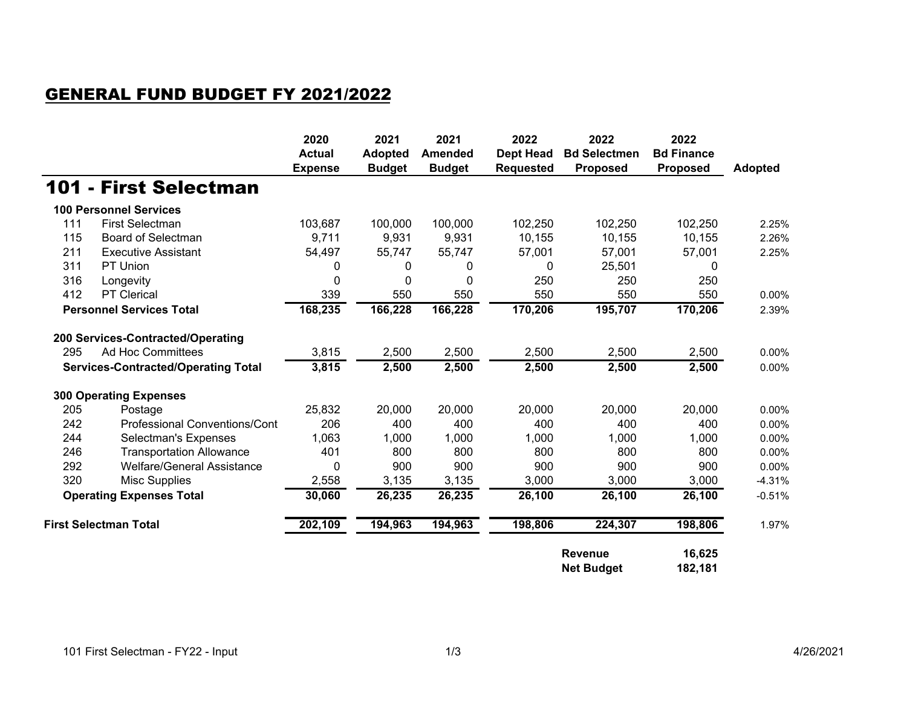## GENERAL FUND BUDGET FY 2021/2022

|                                            |                                      | 2020<br><b>Actual</b><br><b>Expense</b> | 2021<br><b>Adopted</b><br><b>Budget</b> | 2021<br><b>Amended</b><br><b>Budget</b> | 2022<br><b>Dept Head</b><br><b>Requested</b> | 2022<br><b>Bd Selectmen</b><br><b>Proposed</b> | 2022<br><b>Bd Finance</b><br><b>Proposed</b> | <b>Adopted</b> |
|--------------------------------------------|--------------------------------------|-----------------------------------------|-----------------------------------------|-----------------------------------------|----------------------------------------------|------------------------------------------------|----------------------------------------------|----------------|
|                                            | 101 - First Selectman                |                                         |                                         |                                         |                                              |                                                |                                              |                |
|                                            | <b>100 Personnel Services</b>        |                                         |                                         |                                         |                                              |                                                |                                              |                |
| 111                                        | <b>First Selectman</b>               | 103,687                                 | 100,000                                 | 100,000                                 | 102,250                                      | 102,250                                        | 102,250                                      | 2.25%          |
| 115                                        | <b>Board of Selectman</b>            | 9,711                                   | 9,931                                   | 9,931                                   | 10,155                                       | 10,155                                         | 10,155                                       | 2.26%          |
| 211                                        | <b>Executive Assistant</b>           | 54,497                                  | 55,747                                  | 55,747                                  | 57,001                                       | 57,001                                         | 57,001                                       | 2.25%          |
| 311                                        | PT Union                             | 0                                       | 0                                       | 0                                       | 0                                            | 25,501                                         | 0                                            |                |
| 316                                        | Longevity                            | 0                                       | $\Omega$                                | 0                                       | 250                                          | 250                                            | 250                                          |                |
| 412                                        | PT Clerical                          | 339                                     | 550                                     | 550                                     | 550                                          | 550                                            | 550                                          | 0.00%          |
| <b>Personnel Services Total</b>            |                                      | 168,235                                 | 166,228                                 | 166,228                                 | 170,206                                      | 195,707                                        | 170,206                                      | 2.39%          |
|                                            | 200 Services-Contracted/Operating    |                                         |                                         |                                         |                                              |                                                |                                              |                |
| 295                                        | <b>Ad Hoc Committees</b>             | 3,815                                   | 2,500                                   | 2,500                                   | 2,500                                        | 2,500                                          | 2,500                                        | 0.00%          |
| <b>Services-Contracted/Operating Total</b> |                                      | 3,815                                   | 2,500                                   | 2,500                                   | 2,500                                        | 2,500                                          | 2,500                                        | 0.00%          |
|                                            | <b>300 Operating Expenses</b>        |                                         |                                         |                                         |                                              |                                                |                                              |                |
| 205                                        | Postage                              | 25,832                                  | 20,000                                  | 20,000                                  | 20,000                                       | 20,000                                         | 20,000                                       | 0.00%          |
| 242                                        | <b>Professional Conventions/Cont</b> | 206                                     | 400                                     | 400                                     | 400                                          | 400                                            | 400                                          | 0.00%          |
| 244                                        | Selectman's Expenses                 | 1,063                                   | 1,000                                   | 1,000                                   | 1,000                                        | 1,000                                          | 1,000                                        | 0.00%          |
| 246                                        | <b>Transportation Allowance</b>      | 401                                     | 800                                     | 800                                     | 800                                          | 800                                            | 800                                          | 0.00%          |
| 292                                        | Welfare/General Assistance           | 0                                       | 900                                     | 900                                     | 900                                          | 900                                            | 900                                          | 0.00%          |
| 320                                        | <b>Misc Supplies</b>                 | 2,558                                   | 3,135                                   | 3,135                                   | 3,000                                        | 3,000                                          | 3,000                                        | $-4.31%$       |
| <b>Operating Expenses Total</b>            |                                      | 30,060                                  | 26,235                                  | 26,235                                  | 26,100                                       | 26,100                                         | 26,100                                       | $-0.51%$       |
| <b>First Selectman Total</b>               |                                      | 202,109                                 | 194,963                                 | 194,963                                 | 198,806                                      | 224,307                                        | 198,806                                      | 1.97%          |
|                                            |                                      |                                         |                                         |                                         |                                              | <b>Revenue</b><br><b>Net Budget</b>            | 16,625<br>182,181                            |                |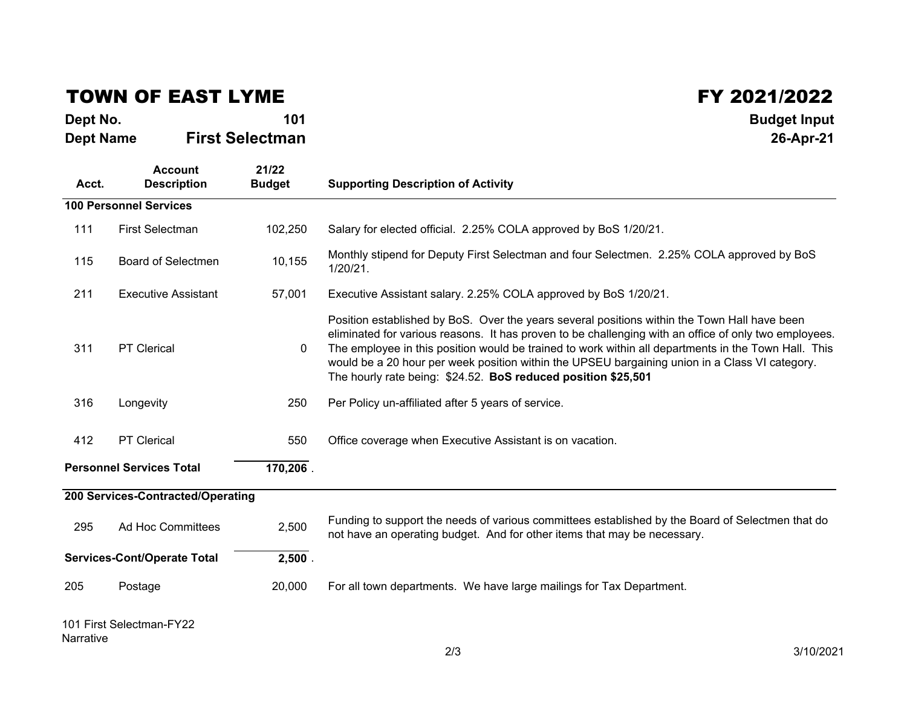## TOWN OF EAST LYME

| Dept No.         | 101                    | <b>Budget Input</b> |
|------------------|------------------------|---------------------|
| <b>Dept Name</b> | <b>First Selectman</b> | 26-Apr-21           |

 $\begin{array}{@{}c@{\hspace{1cm}}c@{\hspace{1cm}}c@{\hspace{1cm}}c@{\hspace{1cm}}c@{\hspace{1cm}}c@{\hspace{1cm}}c@{\hspace{1cm}}c@{\hspace{1cm}}c@{\hspace{1cm}}c@{\hspace{1cm}}c@{\hspace{1cm}}c@{\hspace{1cm}}c@{\hspace{1cm}}c@{\hspace{1cm}}c@{\hspace{1cm}}c@{\hspace{1cm}}c@{\hspace{1cm}}c@{\hspace{1cm}}c@{\hspace{1cm}}c@{\hspace{1cm}}c@{\hspace{1cm}}c@{\hspace{1cm}}c@{\hspace{1cm}}c@{\hspace{$ 

| <b>Dept Name</b> |                                      | <b>First Selectman</b> | 26-Apr-21                                                                                                                                                                                                                                                                                                                                                                                                                                                                        |  |  |  |
|------------------|--------------------------------------|------------------------|----------------------------------------------------------------------------------------------------------------------------------------------------------------------------------------------------------------------------------------------------------------------------------------------------------------------------------------------------------------------------------------------------------------------------------------------------------------------------------|--|--|--|
| Acct.            | <b>Account</b><br><b>Description</b> | 21/22<br><b>Budget</b> | <b>Supporting Description of Activity</b>                                                                                                                                                                                                                                                                                                                                                                                                                                        |  |  |  |
|                  | <b>100 Personnel Services</b>        |                        |                                                                                                                                                                                                                                                                                                                                                                                                                                                                                  |  |  |  |
| 111              | <b>First Selectman</b>               | 102,250                | Salary for elected official. 2.25% COLA approved by BoS 1/20/21.                                                                                                                                                                                                                                                                                                                                                                                                                 |  |  |  |
| 115              | <b>Board of Selectmen</b>            | 10,155                 | Monthly stipend for Deputy First Selectman and four Selectmen. 2.25% COLA approved by BoS<br>$1/20/21$ .                                                                                                                                                                                                                                                                                                                                                                         |  |  |  |
| 211              | <b>Executive Assistant</b>           | 57,001                 | Executive Assistant salary. 2.25% COLA approved by BoS 1/20/21.                                                                                                                                                                                                                                                                                                                                                                                                                  |  |  |  |
| 311              | <b>PT Clerical</b>                   | $\mathbf 0$            | Position established by BoS. Over the years several positions within the Town Hall have been<br>eliminated for various reasons. It has proven to be challenging with an office of only two employees.<br>The employee in this position would be trained to work within all departments in the Town Hall. This<br>would be a 20 hour per week position within the UPSEU bargaining union in a Class VI category.<br>The hourly rate being: \$24.52. BoS reduced position \$25,501 |  |  |  |
| 316              | Longevity                            | 250                    | Per Policy un-affiliated after 5 years of service.                                                                                                                                                                                                                                                                                                                                                                                                                               |  |  |  |
| 412              | PT Clerical                          | 550                    | Office coverage when Executive Assistant is on vacation.                                                                                                                                                                                                                                                                                                                                                                                                                         |  |  |  |
|                  | <b>Personnel Services Total</b>      | 170,206.               |                                                                                                                                                                                                                                                                                                                                                                                                                                                                                  |  |  |  |
|                  | 200 Services-Contracted/Operating    |                        |                                                                                                                                                                                                                                                                                                                                                                                                                                                                                  |  |  |  |
| 295              | Ad Hoc Committees                    | 2,500                  | Funding to support the needs of various committees established by the Board of Selectmen that do<br>not have an operating budget. And for other items that may be necessary.                                                                                                                                                                                                                                                                                                     |  |  |  |
|                  | <b>Services-Cont/Operate Total</b>   | $2,500$ .              |                                                                                                                                                                                                                                                                                                                                                                                                                                                                                  |  |  |  |
| 205              | Postage                              | 20,000                 | For all town departments. We have large mailings for Tax Department.                                                                                                                                                                                                                                                                                                                                                                                                             |  |  |  |
|                  | 101 First Selectman-FY22             |                        |                                                                                                                                                                                                                                                                                                                                                                                                                                                                                  |  |  |  |